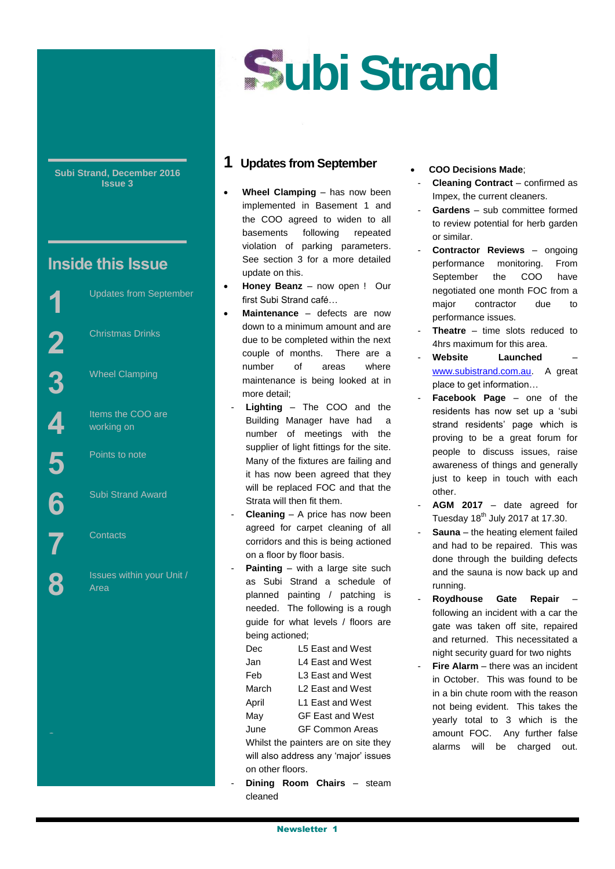# **ubi Strand**

**Subi Strand, December 2016 Issue 3**

## **Inside this Issue**

Street

State

Updates from September

Christmas Drinks

Wheel Clamping

Items the COO are working on

Points to note

Subi Strand Award

**Contacts** 

Issues within your Unit / Area

## **1 Updates from September**

- **Wheel Clamping** has now been implemented in Basement 1 and the COO agreed to widen to all basements following repeated violation of parking parameters. See section 3 for a more detailed update on this.
- **Honey Beanz** now open ! Our first Subi Strand café…
- **Maintenance** defects are now down to a minimum amount and are due to be completed within the next couple of months. There are a number of areas where maintenance is being looked at in more detail;
	- Lighting The COO and the Building Manager have had a number of meetings with the supplier of light fittings for the site. Many of the fixtures are failing and it has now been agreed that they will be replaced FOC and that the Strata will then fit them.
	- **Cleaning** A price has now been agreed for carpet cleaning of all corridors and this is being actioned on a floor by floor basis.
	- **Painting** with a large site such as Subi Strand a schedule of planned painting / patching is needed. The following is a rough guide for what levels / floors are being actioned;
		- Dec L5 East and West Jan L4 East and West Feb L3 East and West March L2 East and West April L1 East and West
		- May GF East and West
		- June GF Common Areas
		- Whilst the painters are on site they will also address any 'major' issues on other floors.
	- **Dining Room Chairs steam** cleaned
- **COO Decisions Made**;
- **Cleaning Contract confirmed as** Impex, the current cleaners.
- Gardens sub committee formed to review potential for herb garden or similar.
- **Contractor Reviews** ongoing performance monitoring. From September the COO have negotiated one month FOC from a major contractor due to performance issues.
- **Theatre** time slots reduced to 4hrs maximum for this area.
- **Website Launched** [www.subistrand.com.au.](http://www.subistrand.com.au/) A great place to get information…
- Facebook Page one of the residents has now set up a 'subi strand residents' page which is proving to be a great forum for people to discuss issues, raise awareness of things and generally just to keep in touch with each other.
- AGM 2017 date agreed for Tuesday  $18<sup>th</sup>$  July 2017 at 17.30.
- **Sauna** the heating element failed and had to be repaired. This was done through the building defects and the sauna is now back up and running.
- **Roydhouse Gate Repair** following an incident with a car the gate was taken off site, repaired and returned. This necessitated a night security guard for two nights
- **Fire Alarm** there was an incident in October. This was found to be in a bin chute room with the reason not being evident. This takes the yearly total to 3 which is the amount FOC. Any further false alarms will be charged out.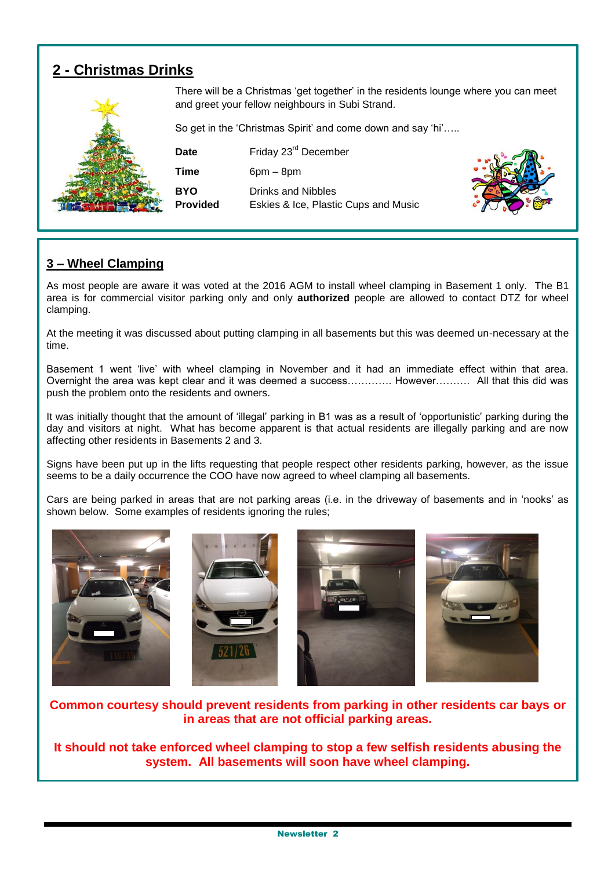## **2 - Christmas Drinks**



There will be a Christmas 'get together' in the residents lounge where you can meet and greet your fellow neighbours in Subi Strand.

So get in the 'Christmas Spirit' and come down and say 'hi'…..

**Date** Friday 23<sup>rd</sup> December **Time** 6pm – 8pm **BYO** Drinks and Nibbles **Provided** Eskies & Ice, Plastic Cups and Music



## **3 – Wheel Clamping**

As most people are aware it was voted at the 2016 AGM to install wheel clamping in Basement 1 only. The B1 area is for commercial visitor parking only and only **authorized** people are allowed to contact DTZ for wheel clamping.

At the meeting it was discussed about putting clamping in all basements but this was deemed un-necessary at the time.

Basement 1 went 'live' with wheel clamping in November and it had an immediate effect within that area. Overnight the area was kept clear and it was deemed a success…………. However………. All that this did was push the problem onto the residents and owners.

It was initially thought that the amount of 'illegal' parking in B1 was as a result of 'opportunistic' parking during the day and visitors at night. What has become apparent is that actual residents are illegally parking and are now affecting other residents in Basements 2 and 3.

Signs have been put up in the lifts requesting that people respect other residents parking, however, as the issue seems to be a daily occurrence the COO have now agreed to wheel clamping all basements.

Cars are being parked in areas that are not parking areas (i.e. in the driveway of basements and in 'nooks' as shown below. Some examples of residents ignoring the rules;



**Common courtesy should prevent residents from parking in other residents car bays or in areas that are not official parking areas.** 

**It should not take enforced wheel clamping to stop a few selfish residents abusing the system. All basements will soon have wheel clamping.**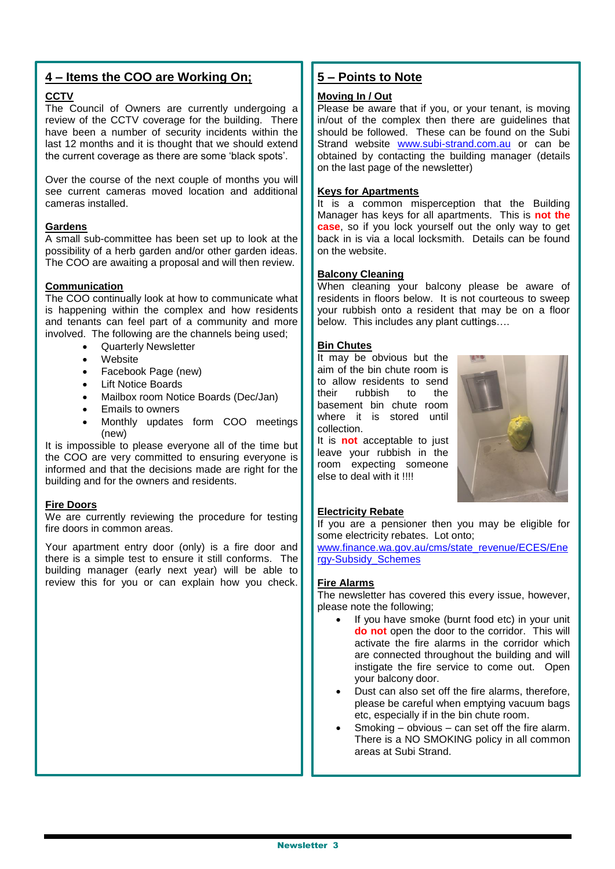## **4 – Items the COO are Working On;**

#### **CCTV**

The Council of Owners are currently undergoing a review of the CCTV coverage for the building. There have been a number of security incidents within the last 12 months and it is thought that we should extend the current coverage as there are some 'black spots'.

Over the course of the next couple of months you will see current cameras moved location and additional cameras installed.

#### **Gardens**

A small sub-committee has been set up to look at the possibility of a herb garden and/or other garden ideas. The COO are awaiting a proposal and will then review.

#### **Communication**

The COO continually look at how to communicate what is happening within the complex and how residents and tenants can feel part of a community and more involved. The following are the channels being used;

- Quarterly Newsletter
- **Website**
- Facebook Page (new)
- Lift Notice Boards
- Mailbox room Notice Boards (Dec/Jan)
- Emails to owners
- Monthly updates form COO meetings (new)

It is impossible to please everyone all of the time but the COO are very committed to ensuring everyone is informed and that the decisions made are right for the building and for the owners and residents.

#### **Fire Doors**

We are currently reviewing the procedure for testing fire doors in common areas.

Your apartment entry door (only) is a fire door and there is a simple test to ensure it still conforms. The building manager (early next year) will be able to review this for you or can explain how you check.

## **5 – Points to Note**

#### **Moving In / Out**

Please be aware that if you, or your tenant, is moving in/out of the complex then there are guidelines that should be followed. These can be found on the Subi Strand website [www.subi-strand.com.au](http://www.subi-strand.com.au/) or can be obtained by contacting the building manager (details on the last page of the newsletter)

#### **Keys for Apartments**

It is a common misperception that the Building Manager has keys for all apartments. This is **not the case**, so if you lock yourself out the only way to get back in is via a local locksmith. Details can be found on the website.

#### **Balcony Cleaning**

When cleaning your balcony please be aware of residents in floors below. It is not courteous to sweep your rubbish onto a resident that may be on a floor below. This includes any plant cuttings….

#### **Bin Chutes**

It may be obvious but the aim of the bin chute room is to allow residents to send rubbish to the basement bin chute room where it is stored until collection.

It is **not** acceptable to just leave your rubbish in the room expecting someone else to deal with it !!!!



#### **Electricity Rebate**

If you are a pensioner then you may be eligible for some electricity rebates. Lot onto;

[www.finance.wa.gov.au/cms/state\\_revenue/ECES/Ene](http://www.finance.wa.gov.au/cms/state_revenue/ECES/Energy-Subsidy_Schemes) [rgy-Subsidy\\_Schemes](http://www.finance.wa.gov.au/cms/state_revenue/ECES/Energy-Subsidy_Schemes)

#### **Fire Alarms**

The newsletter has covered this every issue, however, please note the following;

- If you have smoke (burnt food etc) in your unit **do not** open the door to the corridor. This will activate the fire alarms in the corridor which are connected throughout the building and will instigate the fire service to come out. Open your balcony door.
- Dust can also set off the fire alarms, therefore, please be careful when emptying vacuum bags etc, especially if in the bin chute room.
- Smoking obvious can set off the fire alarm. There is a NO SMOKING policy in all common areas at Subi Strand.